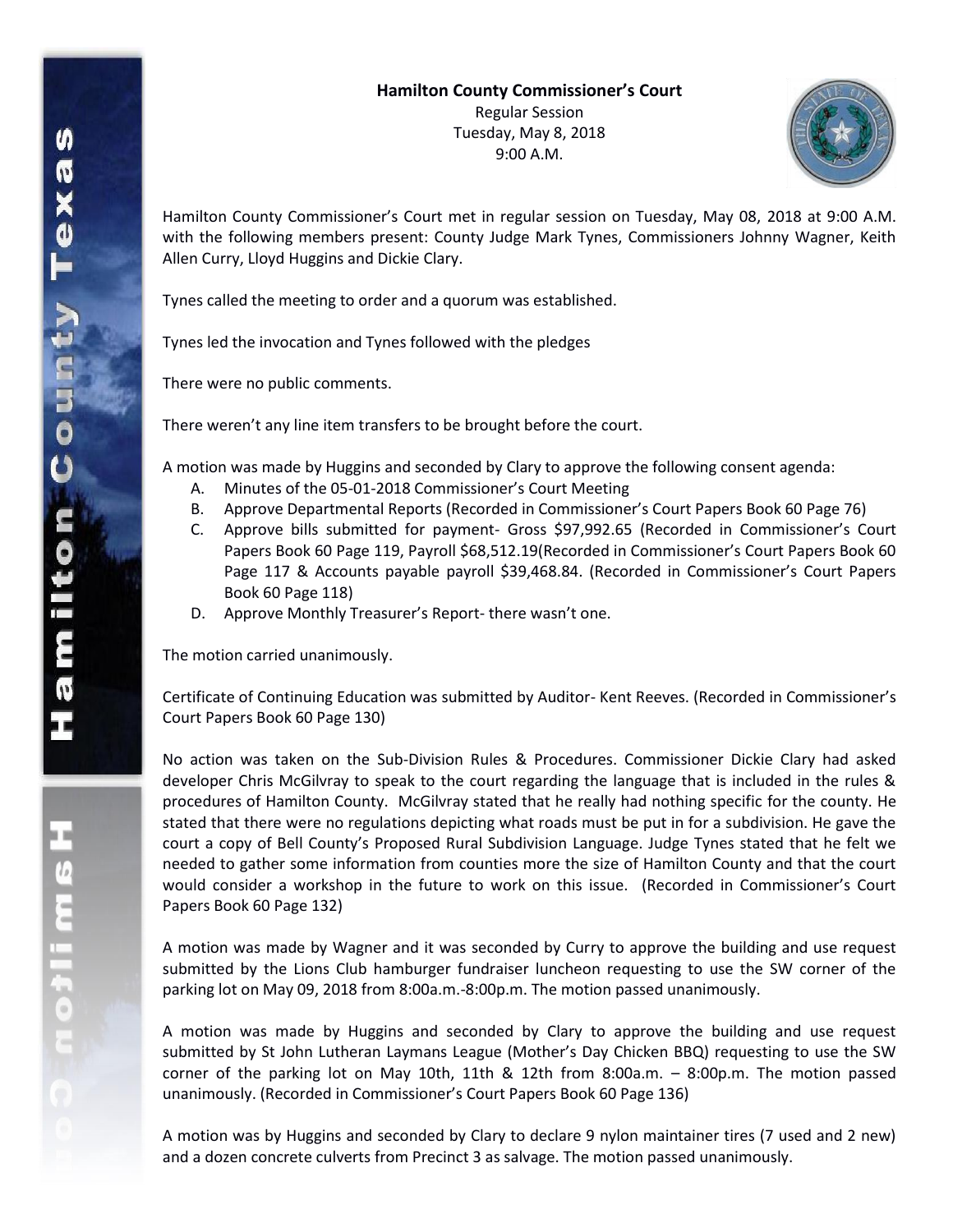

Hamilton County Commissioner's Court met in regular session on Tuesday, May 08, 2018 at 9:00 A.M. with the following members present: County Judge Mark Tynes, Commissioners Johnny Wagner, Keith Allen Curry, Lloyd Huggins and Dickie Clary.

Tynes called the meeting to order and a quorum was established.

Tynes led the invocation and Tynes followed with the pledges

There were no public comments.

There weren't any line item transfers to be brought before the court.

A motion was made by Huggins and seconded by Clary to approve the following consent agenda:

- A. Minutes of the 05-01-2018 Commissioner's Court Meeting
- B. Approve Departmental Reports (Recorded in Commissioner's Court Papers Book 60 Page 76)
- C. Approve bills submitted for payment- Gross \$97,992.65 (Recorded in Commissioner's Court Papers Book 60 Page 119, Payroll \$68,512.19(Recorded in Commissioner's Court Papers Book 60 Page 117 & Accounts payable payroll \$39,468.84. (Recorded in Commissioner's Court Papers Book 60 Page 118)
- D. Approve Monthly Treasurer's Report- there wasn't one.

The motion carried unanimously.

Certificate of Continuing Education was submitted by Auditor- Kent Reeves. (Recorded in Commissioner's Court Papers Book 60 Page 130)

No action was taken on the Sub-Division Rules & Procedures. Commissioner Dickie Clary had asked developer Chris McGilvray to speak to the court regarding the language that is included in the rules & procedures of Hamilton County. McGilvray stated that he really had nothing specific for the county. He stated that there were no regulations depicting what roads must be put in for a subdivision. He gave the court a copy of Bell County's Proposed Rural Subdivision Language. Judge Tynes stated that he felt we needed to gather some information from counties more the size of Hamilton County and that the court would consider a workshop in the future to work on this issue. (Recorded in Commissioner's Court Papers Book 60 Page 132)

A motion was made by Wagner and it was seconded by Curry to approve the building and use request submitted by the Lions Club hamburger fundraiser luncheon requesting to use the SW corner of the parking lot on May 09, 2018 from 8:00a.m.-8:00p.m. The motion passed unanimously.

A motion was made by Huggins and seconded by Clary to approve the building and use request submitted by St John Lutheran Laymans League (Mother's Day Chicken BBQ) requesting to use the SW corner of the parking lot on May 10th, 11th & 12th from 8:00a.m. – 8:00p.m. The motion passed unanimously. (Recorded in Commissioner's Court Papers Book 60 Page 136)

A motion was by Huggins and seconded by Clary to declare 9 nylon maintainer tires (7 used and 2 new) and a dozen concrete culverts from Precinct 3 as salvage. The motion passed unanimously.